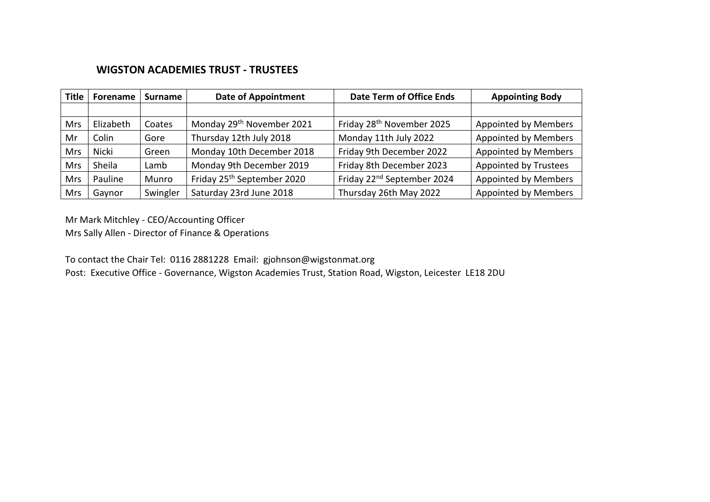## **WIGSTON ACADEMIES TRUST - TRUSTEES**

| <b>Title</b> | Forename     | Surname  | <b>Date of Appointment</b>             | <b>Date Term of Office Ends</b>        | <b>Appointing Body</b>       |
|--------------|--------------|----------|----------------------------------------|----------------------------------------|------------------------------|
|              |              |          |                                        |                                        |                              |
| Mrs          | Elizabeth    | Coates   | Monday 29 <sup>th</sup> November 2021  | Friday 28 <sup>th</sup> November 2025  | <b>Appointed by Members</b>  |
| Mr           | Colin        | Gore     | Thursday 12th July 2018                | Monday 11th July 2022                  | <b>Appointed by Members</b>  |
| Mrs          | <b>Nicki</b> | Green    | Monday 10th December 2018              | Friday 9th December 2022               | <b>Appointed by Members</b>  |
| <b>Mrs</b>   | Sheila       | Lamb     | Monday 9th December 2019               | Friday 8th December 2023               | <b>Appointed by Trustees</b> |
| <b>Mrs</b>   | Pauline      | Munro    | Friday 25 <sup>th</sup> September 2020 | Friday 22 <sup>nd</sup> September 2024 | <b>Appointed by Members</b>  |
| <b>Mrs</b>   | Gaynor       | Swingler | Saturday 23rd June 2018                | Thursday 26th May 2022                 | <b>Appointed by Members</b>  |

Mr Mark Mitchley - CEO/Accounting Officer

Mrs Sally Allen - Director of Finance & Operations

To contact the Chair Tel: 0116 2881228 Email: gjohnson@wigstonmat.org

Post: Executive Office - Governance, Wigston Academies Trust, Station Road, Wigston, Leicester LE18 2DU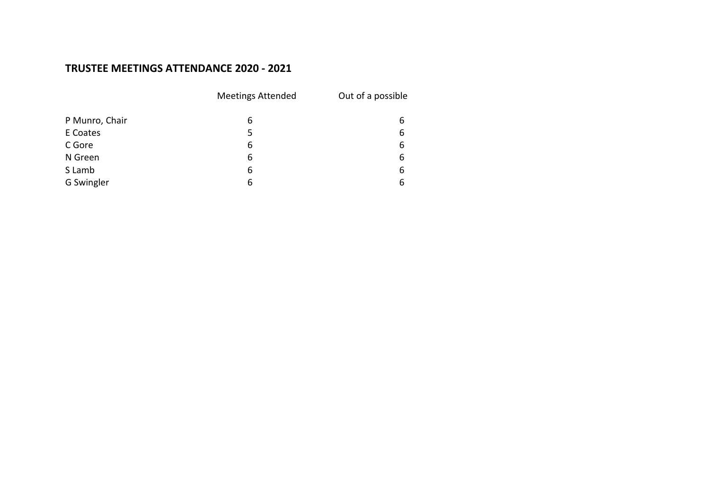## **TRUSTEE MEETINGS ATTENDANCE 2020 - 2021**

|                | <b>Meetings Attended</b> | Out of a possible |
|----------------|--------------------------|-------------------|
| P Munro, Chair | 6                        | 6                 |
| E Coates       | 5                        | 6                 |
| C Gore         | 6                        | 6                 |
| N Green        | 6                        | 6                 |
| S Lamb         | 6                        | 6                 |
| G Swingler     | 6                        | 6                 |